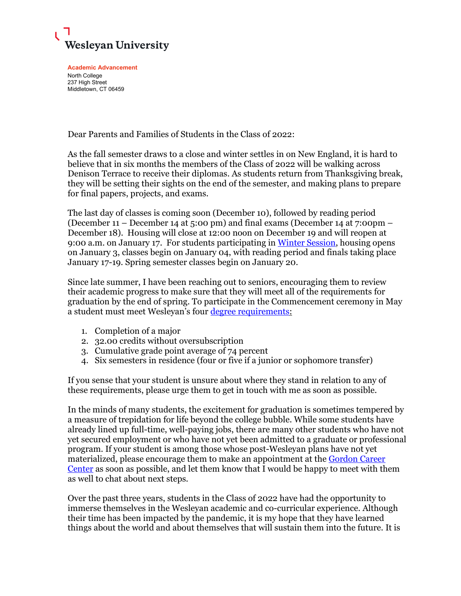

**Academic Advancement** North College 237 High Street Middletown, CT 06459

Dear Parents and Families of Students in the Class of 2022:

As the fall semester draws to a close and winter settles in on New England, it is hard to believe that in six months the members of the Class of 2022 will be walking across Denison Terrace to receive their diplomas. As students return from Thanksgiving break, they will be setting their sights on the end of the semester, and making plans to prepare for final papers, projects, and exams.

The last day of classes is coming soon (December 10), followed by reading period (December 11 – December 14 at 5:00 pm) and final exams (December 14 at 7:00pm – December 18). Housing will close at 12:00 noon on December 19 and will reopen at 9:00 a.m. on January 17. For students participating in [Winter Session,](http://www.wesleyan.edu/winter/) housing opens on January 3, classes begin on January 04, with reading period and finals taking place January 17-19. Spring semester classes begin on January 20.

Since late summer, I have been reaching out to seniors, encouraging them to review their academic progress to make sure that they will meet all of the requirements for graduation by the end of spring. To participate in the Commencement ceremony in May a student must meet Wesleyan's four [degree requirements:](https://catalog.wesleyan.edu/academic-regulations/degree-requirements/)

- 1. Completion of a major
- 2. 32.00 credits without oversubscription
- 3. Cumulative grade point average of 74 percent
- 4. Six semesters in residence (four or five if a junior or sophomore transfer)

If you sense that your student is unsure about where they stand in relation to any of these requirements, please urge them to get in touch with me as soon as possible.

In the minds of many students, the excitement for graduation is sometimes tempered by a measure of trepidation for life beyond the college bubble. While some students have already lined up full-time, well-paying jobs, there are many other students who have not yet secured employment or who have not yet been admitted to a graduate or professional program. If your student is among those whose post-Wesleyan plans have not yet materialized, please encourage them to make an appointment at the Gordon Career [Center](http://www.wesleyan.edu/careercenter/index.html) as soon as possible, and let them know that I would be happy to meet with them as well to chat about next steps.

Over the past three years, students in the Class of 2022 have had the opportunity to immerse themselves in the Wesleyan academic and co-curricular experience. Although their time has been impacted by the pandemic, it is my hope that they have learned things about the world and about themselves that will sustain them into the future. It is